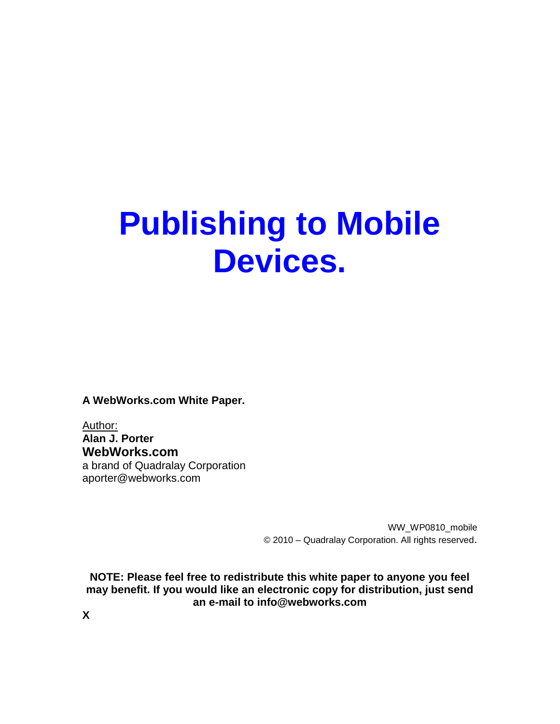# **Publishing to Mobile Devices.**

**A WebWorks.com White Paper.**

Author: **Alan J. Porter WebWorks.com** a brand of Quadralay Corporation aporter@webworks.com

> WW\_WP0810\_mobile © 2010 – Quadralay Corporation. All rights reserved.

**NOTE: Please feel free to redistribute this white paper to anyone you feel may benefit. If you would like an electronic copy for distribution, just send an e-mail to info@webworks.com**

**X**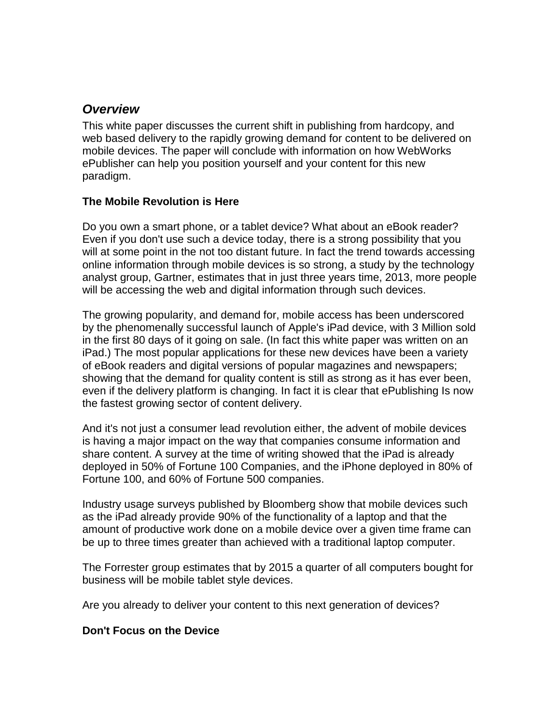# *Overview*

This white paper discusses the current shift in publishing from hardcopy, and web based delivery to the rapidly growing demand for content to be delivered on mobile devices. The paper will conclude with information on how WebWorks ePublisher can help you position yourself and your content for this new paradigm.

### **The Mobile Revolution is Here**

Do you own a smart phone, or a tablet device? What about an eBook reader? Even if you don't use such a device today, there is a strong possibility that you will at some point in the not too distant future. In fact the trend towards accessing online information through mobile devices is so strong, a study by the technology analyst group, Gartner, estimates that in just three years time, 2013, more people will be accessing the web and digital information through such devices.

The growing popularity, and demand for, mobile access has been underscored by the phenomenally successful launch of Apple's iPad device, with 3 Million sold in the first 80 days of it going on sale. (In fact this white paper was written on an iPad.) The most popular applications for these new devices have been a variety of eBook readers and digital versions of popular magazines and newspapers; showing that the demand for quality content is still as strong as it has ever been, even if the delivery platform is changing. In fact it is clear that ePublishing Is now the fastest growing sector of content delivery.

And it's not just a consumer lead revolution either, the advent of mobile devices is having a major impact on the way that companies consume information and share content. A survey at the time of writing showed that the iPad is already deployed in 50% of Fortune 100 Companies, and the iPhone deployed in 80% of Fortune 100, and 60% of Fortune 500 companies.

Industry usage surveys published by Bloomberg show that mobile devices such as the iPad already provide 90% of the functionality of a laptop and that the amount of productive work done on a mobile device over a given time frame can be up to three times greater than achieved with a traditional laptop computer.

The Forrester group estimates that by 2015 a quarter of all computers bought for business will be mobile tablet style devices.

Are you already to deliver your content to this next generation of devices?

#### **Don't Focus on the Device**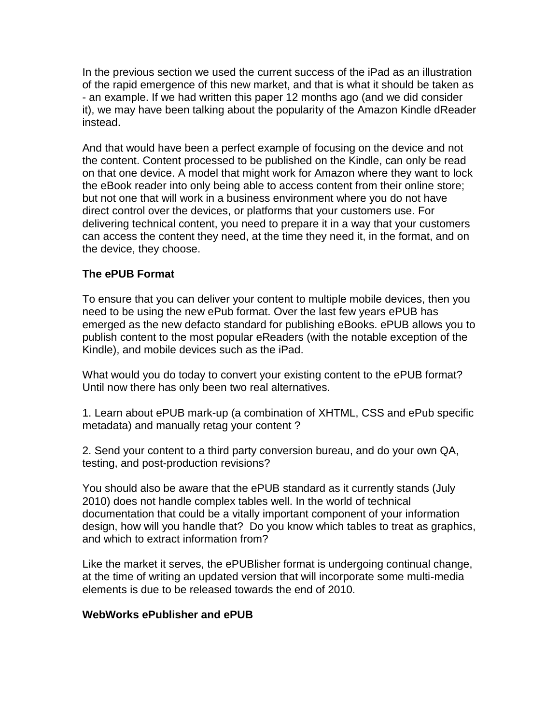In the previous section we used the current success of the iPad as an illustration of the rapid emergence of this new market, and that is what it should be taken as - an example. If we had written this paper 12 months ago (and we did consider it), we may have been talking about the popularity of the Amazon Kindle dReader instead.

And that would have been a perfect example of focusing on the device and not the content. Content processed to be published on the Kindle, can only be read on that one device. A model that might work for Amazon where they want to lock the eBook reader into only being able to access content from their online store; but not one that will work in a business environment where you do not have direct control over the devices, or platforms that your customers use. For delivering technical content, you need to prepare it in a way that your customers can access the content they need, at the time they need it, in the format, and on the device, they choose.

### **The ePUB Format**

To ensure that you can deliver your content to multiple mobile devices, then you need to be using the new ePub format. Over the last few years ePUB has emerged as the new defacto standard for publishing eBooks. ePUB allows you to publish content to the most popular eReaders (with the notable exception of the Kindle), and mobile devices such as the iPad.

What would you do today to convert your existing content to the ePUB format? Until now there has only been two real alternatives.

1. Learn about ePUB mark-up (a combination of XHTML, CSS and ePub specific metadata) and manually retag your content ?

2. Send your content to a third party conversion bureau, and do your own QA, testing, and post-production revisions?

You should also be aware that the ePUB standard as it currently stands (July 2010) does not handle complex tables well. In the world of technical documentation that could be a vitally important component of your information design, how will you handle that? Do you know which tables to treat as graphics, and which to extract information from?

Like the market it serves, the ePUBlisher format is undergoing continual change, at the time of writing an updated version that will incorporate some multi-media elements is due to be released towards the end of 2010.

#### **WebWorks ePublisher and ePUB**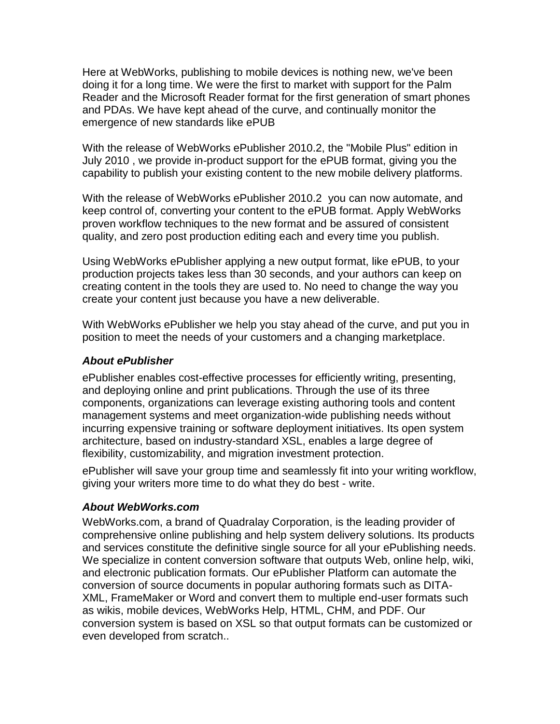Here at WebWorks, publishing to mobile devices is nothing new, we've been doing it for a long time. We were the first to market with support for the Palm Reader and the Microsoft Reader format for the first generation of smart phones and PDAs. We have kept ahead of the curve, and continually monitor the emergence of new standards like ePUB

With the release of WebWorks ePublisher 2010.2, the "Mobile Plus" edition in July 2010 , we provide in-product support for the ePUB format, giving you the capability to publish your existing content to the new mobile delivery platforms.

With the release of WebWorks ePublisher 2010.2 you can now automate, and keep control of, converting your content to the ePUB format. Apply WebWorks proven workflow techniques to the new format and be assured of consistent quality, and zero post production editing each and every time you publish.

Using WebWorks ePublisher applying a new output format, like ePUB, to your production projects takes less than 30 seconds, and your authors can keep on creating content in the tools they are used to. No need to change the way you create your content just because you have a new deliverable.

With WebWorks ePublisher we help you stay ahead of the curve, and put you in position to meet the needs of your customers and a changing marketplace.

### *About ePublisher*

ePublisher enables cost-effective processes for efficiently writing, presenting, and deploying online and print publications. Through the use of its three components, organizations can leverage existing authoring tools and content management systems and meet organization-wide publishing needs without incurring expensive training or software deployment initiatives. Its open system architecture, based on industry-standard XSL, enables a large degree of flexibility, customizability, and migration investment protection.

ePublisher will save your group time and seamlessly fit into your writing workflow, giving your writers more time to do what they do best - write.

## *About WebWorks.com*

WebWorks.com, a brand of Quadralay Corporation, is the leading provider of comprehensive online publishing and help system delivery solutions. Its products and services constitute the definitive single source for all your ePublishing needs. We specialize in content conversion software that outputs Web, online help, wiki, and electronic publication formats. Our ePublisher Platform can automate the conversion of source documents in popular authoring formats such as DITA-XML, FrameMaker or Word and convert them to multiple end-user formats such as wikis, mobile devices, WebWorks Help, HTML, CHM, and PDF. Our conversion system is based on XSL so that output formats can be customized or even developed from scratch..